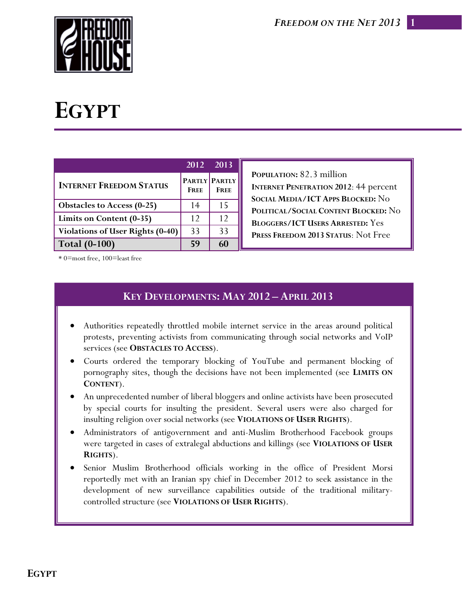**1**



# **EGYPT**

|                                   | 2012 2013   |                              |
|-----------------------------------|-------------|------------------------------|
| <b>INTERNET FREEDOM STATUS</b>    | <b>FREE</b> | PARTLY PARTLY<br><b>FREE</b> |
| <b>Obstacles to Access (0-25)</b> | 14          | 15                           |
| Limits on Content (0-35)          | 12          | 12                           |
| Violations of User Rights (0-40)  | 33          | 33                           |
| <b>Total (0-100)</b>              | 59          | 60                           |

**POPULATION:** 82.3 million **INTERNET PENETRATION 2012**: 44 percent **SOCIAL MEDIA/ICT APPS BLOCKED:** No **POLITICAL/SOCIAL CONTENT BLOCKED:** No **BLOGGERS/ICT USERS ARRESTED:** Yes **PRESS FREEDOM 2013 STATUS**: Not Free

\* 0=most free, 100=least free

# **KEY DEVELOPMENTS: MAY 2012 – APRIL 2013**

- Authorities repeatedly throttled mobile internet service in the areas around political protests, preventing activists from communicating through social networks and VoIP services (see **OBSTACLES TO ACCESS**).
- Courts ordered the temporary blocking of YouTube and permanent blocking of pornography sites, though the decisions have not been implemented (see **LIMITS ON CONTENT**).
- An unprecedented number of liberal bloggers and online activists have been prosecuted by special courts for insulting the president. Several users were also charged for insulting religion over social networks (see **VIOLATIONS OF USER RIGHTS**).
- Administrators of antigovernment and anti-Muslim Brotherhood Facebook groups were targeted in cases of extralegal abductions and killings (see **VIOLATIONS OF USER RIGHTS**).
- Senior Muslim Brotherhood officials working in the office of President Morsi reportedly met with an Iranian spy chief in December 2012 to seek assistance in the development of new surveillance capabilities outside of the traditional militarycontrolled structure (see **VIOLATIONS OF USER RIGHTS**).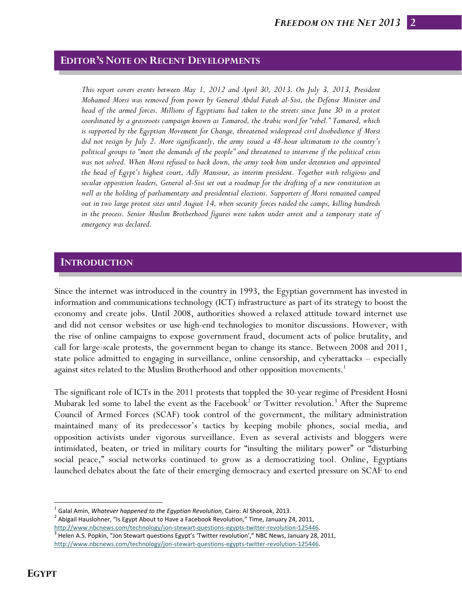# **EDITOR'S NOTE ON RECENT DEVELOPMENTS**

*This report covers events between May 1, 2012 and April 30, 2013. On July 3, 2013, President Mohamed Morsi was removed from power by General Abdul Fatah al-Sisi, the Defense Minister and head of the armed forces. Millions of Egyptians had taken to the streets since June 30 in a protest coordinated by a grassroots campaign known as Tamarod, the Arabic word for "rebel." Tamarod, which is supported by the Egyptian Movement for Change, threatened widespread civil disobedience if Morsi did not resign by July 2. More significantly, the army issued a 48-hour ultimatum to the country's political groups to "meet the demands of the people" and threatened to intervene if the political crisis was not solved. When Morsi refused to back down, the army took him under detention and appointed the head of Egypt's highest court, Adly Mansour, as interim president. Together with religious and secular opposition leaders, General al-Sisi set out a roadmap for the drafting of a new constitution as well as the holding of parliamentary and presidential elections. Supporters of Morsi remained camped out in two large protest sites until August 14, when security forces raided the camps, killing hundreds in the process. Senior Muslim Brotherhood figures were taken under arrest and a temporary state of emergency was declared.* 

#### **INTRODUCTION**

Since the internet was introduced in the country in 1993, the Egyptian government has invested in information and communications technology (ICT) infrastructure as part of its strategy to boost the economy and create jobs. Until 2008, authorities showed a relaxed attitude toward internet use and did not censor websites or use high-end technologies to monitor discussions. However, with the rise of online campaigns to expose government fraud, document acts of police brutality, and call for large-scale protests, the government began to change its stance. Between 2008 and 2011, state police admitted to engaging in surveillance, online censorship, and cyberattacks – especially against sites related to the Muslim Brotherhood and other opposition movements.<sup>1</sup>

The significant role of ICTs in the 2011 protests that toppled the 30-year regime of President Hosni Mubarak led some to label the event as the Facebook<sup>2</sup> or Twitter revolution.<sup>3</sup> After the Supreme Council of Armed Forces (SCAF) took control of the government, the military administration maintained many of its predecessor's tactics by keeping mobile phones, social media, and opposition activists under vigorous surveillance. Even as several activists and bloggers were intimidated, beaten, or tried in military courts for "insulting the military power" or "disturbing social peace," social networks continued to grow as a democratizing tool. Online, Egyptians launched debates about the fate of their emerging democracy and exerted pressure on SCAF to end

<sup>&</sup>lt;sup>1</sup> Galal Amin, *Whatever happened to the Egyptian Revolution*, Cairo: Al Shorook, 2013.<br><sup>2</sup> Abigail Hauslohner, "Is Egypt About to Have a Facebook Revolution," Time, January 24, 2011,<br>http://www<u>.nbcnews.com/technology/jo</u>

 $3$  Helen A.S. Popkin, "Jon Stewart questions Egypt's 'Twitter revolution'," NBC News, January 28, 2011, http://www.nbcnews.com/technology/jon‐stewart‐questions‐egypts‐twitter‐revolution‐125446.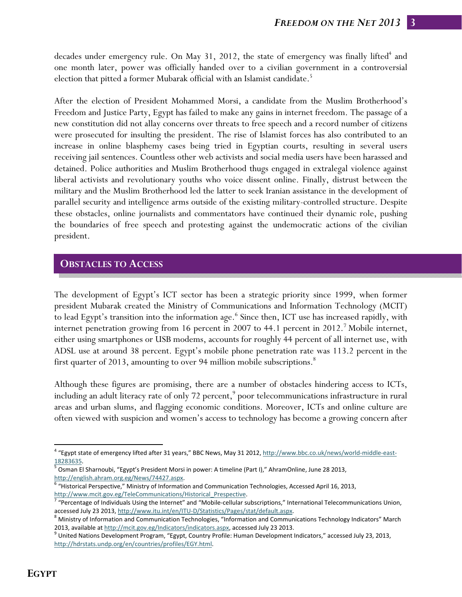decades under emergency rule. On May 31, 2012, the state of emergency was finally lifted<sup>4</sup> and one month later, power was officially handed over to a civilian government in a controversial election that pitted a former Mubarak official with an Islamist candidate.<sup>5</sup>

After the election of President Mohammed Morsi, a candidate from the Muslim Brotherhood's Freedom and Justice Party, Egypt has failed to make any gains in internet freedom. The passage of a new constitution did not allay concerns over threats to free speech and a record number of citizens were prosecuted for insulting the president. The rise of Islamist forces has also contributed to an increase in online blasphemy cases being tried in Egyptian courts, resulting in several users receiving jail sentences. Countless other web activists and social media users have been harassed and detained. Police authorities and Muslim Brotherhood thugs engaged in extralegal violence against liberal activists and revolutionary youths who voice dissent online. Finally, distrust between the military and the Muslim Brotherhood led the latter to seek Iranian assistance in the development of parallel security and intelligence arms outside of the existing military-controlled structure. Despite these obstacles, online journalists and commentators have continued their dynamic role, pushing the boundaries of free speech and protesting against the undemocratic actions of the civilian president.

## **OBSTACLES TO ACCESS**

The development of Egypt's ICT sector has been a strategic priority since 1999, when former president Mubarak created the Ministry of Communications and Information Technology (MCIT) to lead Egypt's transition into the information age.<sup>6</sup> Since then, ICT use has increased rapidly, with internet penetration growing from 16 percent in 2007 to 44.1 percent in 2012.<sup>7</sup> Mobile internet, either using smartphones or USB modems, accounts for roughly 44 percent of all internet use, with ADSL use at around 38 percent. Egypt's mobile phone penetration rate was 113.2 percent in the first quarter of 2013, amounting to over 94 million mobile subscriptions.<sup>8</sup>

Although these figures are promising, there are a number of obstacles hindering access to ICTs, including an adult literacy rate of only 72 percent,<sup>9</sup> poor telecommunications infrastructure in rural areas and urban slums, and flagging economic conditions. Moreover, ICTs and online culture are often viewed with suspicion and women's access to technology has become a growing concern after

<sup>&</sup>lt;sup>4</sup> "Egypt state of emergency lifted after 31 years," BBC News, May 31 2012, http://www.bbc.co.uk/news/world-middle-east-

<sup>18283635.&</sup>lt;br><sup>5</sup> Osman El Sharnoubi, "Egypt's President Morsi in power: A timeline (Part I)," AhramOnline, June 28 2013, http://english.ahram.org.eg/News/74427.aspx.

<sup>6 &</sup>quot;Historical Perspective," Ministry of Information and Communication Technologies, Accessed April 16, 2013,

http://www.mcit.gov.eg/TeleCommunications/Historical\_Prespective.<br><sup>7</sup> "Percentage of Individuals Using the Internet" and "Mobile-cellular subscriptions," International Telecommunications Union, accessed July 23 2013, http://www.itu.int/en/ITU-D/Statistics/Pages/stat/default.aspx.<br><sup>8</sup> Ministry of Information and Communication Technologies, "Information and Communications Technology Indicators" March

<sup>2013,</sup> available at http://mcit.gov.eg/Indicators/indicators.aspx, accessed July 23 2013.<br><sup>9</sup> United Nations Development Program, "Egypt, Country Profile: Human Development Indicators," accessed July 23, 2013,

http://hdrstats.undp.org/en/countries/profiles/EGY.html.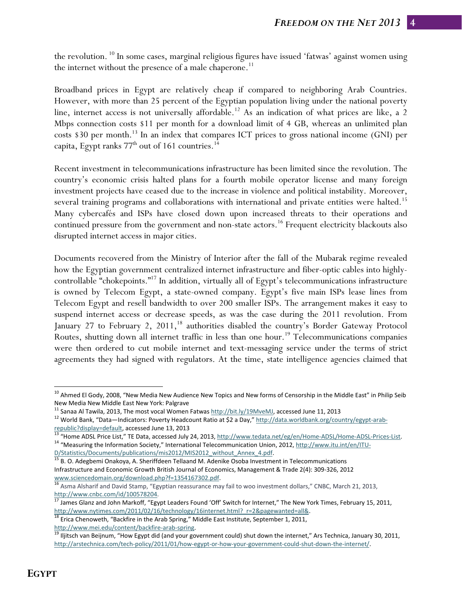the revolution. <sup>10</sup> In some cases, marginal religious figures have issued 'fatwas' against women using the internet without the presence of a male chaperone.<sup>11</sup>

Broadband prices in Egypt are relatively cheap if compared to neighboring Arab Countries. However, with more than 25 percent of the Egyptian population living under the national poverty line, internet access is not universally affordable.<sup>12</sup> As an indication of what prices are like, a 2 Mbps connection costs \$11 per month for a download limit of 4 GB, whereas an unlimited plan costs  $$30$  per month.<sup>13</sup> In an index that compares ICT prices to gross national income (GNI) per capita, Egypt ranks  $77<sup>th</sup>$  out of 161 countries.<sup>14</sup>

Recent investment in telecommunications infrastructure has been limited since the revolution. The country's economic crisis halted plans for a fourth mobile operator license and many foreign investment projects have ceased due to the increase in violence and political instability. Moreover, several training programs and collaborations with international and private entities were halted.<sup>15</sup> Many cybercafés and ISPs have closed down upon increased threats to their operations and continued pressure from the government and non-state actors.<sup>16</sup> Frequent electricity blackouts also disrupted internet access in major cities.

Documents recovered from the Ministry of Interior after the fall of the Mubarak regime revealed how the Egyptian government centralized internet infrastructure and fiber-optic cables into highlycontrollable "chokepoints."17 In addition, virtually all of Egypt's telecommunications infrastructure is owned by Telecom Egypt, a state-owned company. Egypt's five main ISPs lease lines from Telecom Egypt and resell bandwidth to over 200 smaller ISPs. The arrangement makes it easy to suspend internet access or decrease speeds, as was the case during the 2011 revolution. From January 27 to February 2, 2011,<sup>18</sup> authorities disabled the country's Border Gateway Protocol Routes, shutting down all internet traffic in less than one hour.<sup>19</sup> Telecommunications companies were then ordered to cut mobile internet and text-messaging service under the terms of strict agreements they had signed with regulators. At the time, state intelligence agencies claimed that

<sup>&</sup>lt;sup>10</sup> Ahmed El Gody, 2008, "New Media New Audience New Topics and New forms of Censorship in the Middle East" in Philip Seib

New Media New Middle East New York: Palgrave<br><sup>11</sup> Sanaa Al Tawila, 2013, The most vocal Women Fatwas http://bit.ly/19MveMJ, accessed June 11, 2013<br><sup>12</sup> World Bank, "Data—Indicators: Poverty Headcount Ratio at \$2 a Day," ht

republic?display=default, accessed June 13, 2013<br><sup>13</sup> "Home ADSL Price List," TE Data, accessed July 24, 2013, http://www.tedata.net/eg/en/Home-ADSL/Home-ADSL-Prices-List.<br><sup>14</sup> "Measuring the Information Society," Internat

D/Statistics/Documents/publications/mis2012/MIS2012\_without\_Annex\_4.pdf. <sup>15</sup> B. O. Adegbemi Onakoya, A. Sheriffdeen Tellaand M. Adenike Osoba Investment in Telecommunications Infrastructure and Economic Growth British Journal of Economics, Management & Trade 2(4): 309‐326, 2012

www.sciencedomain.org/download.php?f=1354167302.pdf.<br><sup>16</sup> Asma Alsharif and David Stamp, "Egyptian reassurance may fail to woo investment dollars," CNBC, March 21, 2013,

http://www.cnbc.com/id/100578204.<br><sup>17</sup> James Glanz and John Markoff, "Egypt Leaders Found 'Off' Switch for Internet," The New York Times, February 15, 2011,

http://www.nytimes.com/2011/02/16/technology/16internet.html?\_r=2&pagewanted=all&. 18 Erica Chenoweth, "Backfire in the Arab Spring," Middle East Institute, September 1, 2011,

http://www.mei.edu/content/backfire-arab-spring.<br><sup>19</sup> Iljitsch van Beijnum, "How Egypt did (and your government could) shut down the internet," Ars Technica, January 30, 2011, http://arstechnica.com/tech-policy/2011/01/how-egypt-or-how-your-government-could-shut-down-the-internet/.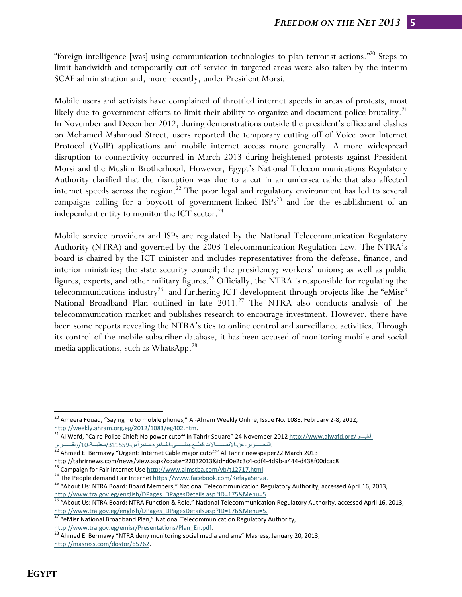"foreign intelligence [was] using communication technologies to plan terrorist actions."<sup>20</sup> Steps to limit bandwidth and temporarily cut off service in targeted areas were also taken by the interim SCAF administration and, more recently, under President Morsi.

Mobile users and activists have complained of throttled internet speeds in areas of protests, most likely due to government efforts to limit their ability to organize and document police brutality.<sup>21</sup> In November and December 2012, during demonstrations outside the president's office and clashes on Mohamed Mahmoud Street, users reported the temporary cutting off of Voice over Internet Protocol (VoIP) applications and mobile internet access more generally. A more widespread disruption to connectivity occurred in March 2013 during heightened protests against President Morsi and the Muslim Brotherhood. However, Egypt's National Telecommunications Regulatory Authority clarified that the disruption was due to a cut in an undersea cable that also affected internet speeds across the region.<sup>22</sup> The poor legal and regulatory environment has led to several campaigns calling for a boycott of government-linked  $ISPs<sup>23</sup>$  and for the establishment of an independent entity to monitor the ICT sector. $^{24}$ 

Mobile service providers and ISPs are regulated by the National Telecommunication Regulatory Authority (NTRA) and governed by the 2003 Telecommunication Regulation Law. The NTRA's board is chaired by the ICT minister and includes representatives from the defense, finance, and interior ministries; the state security council; the presidency; workers' unions; as well as public figures, experts, and other military figures.<sup>25</sup> Officially, the NTRA is responsible for regulating the telecommunications industry<sup>26</sup> and furthering ICT development through projects like the "eMisr" National Broadband Plan outlined in late  $2011<sup>27</sup>$  The NTRA also conducts analysis of the telecommunication market and publishes research to encourage investment. However, there have been some reports revealing the NTRA's ties to online control and surveillance activities. Through its control of the mobile subscriber database, it has been accused of monitoring mobile and social media applications, such as WhatsApp.<sup>28</sup>

<sup>&</sup>lt;sup>20</sup> Ameera Fouad, "Saying no to mobile phones," Al-Ahram Weekly Online, Issue No. 1083, February 2-8, 2012, http://weekly.ahram.org.eg/2012/1083/eg402.htm.<br><sup>21</sup> Al Wafd, "Cairo Police Chief: No power cutoff in Tahrir Square" 24 November 2012 http://www.alwafd.org/اخب

التحــــــــــرير-عن-الاتصــــــالات-قطــع-ينفـــــــى-القــاهرة-مـدير أمن-311559/محليـــة-10/رنقـــــارير 22<br>Ahmed El Bermawy "Urgent: Internet Cable major cutoff" Al Tahrir newspaper22 March 2013

http://tahrirnews.com/news/view.aspx?cdate=22032013&id=d0e2c3c4-cdf4-4d9b-a444-d438f00dcac8<br><sup>23</sup> Campaign for Fair Internet Use http://www.almstba.com/vb/t12717.html.<br><sup>24</sup> The People demand Fair Internet https://www.facebo

http://www.tra.gov.eg/english/DPages\_DPagesDetails.asp?ID=175&Menu=5. 26 "About Us: NTRA Board: NTRA Function & Role," National Telecommunication Regulatory Authority, accessed April 16, 2013,

http://www.tra.gov.eg/english/DPages\_DPagesDetails.asp?ID=176&Menu=5.<br><sup>27</sup> "eMisr National Broadband Plan," National Telecommunication Regulatory Authority,

http://www.tra.gov.eg/emisr/Presentations/Plan\_En.pdf.<br><sup>28</sup> Ahmed El Bermawy "NTRA deny monitoring social media and sms" Masress, January 20, 2013, http://masress.com/dostor/65762.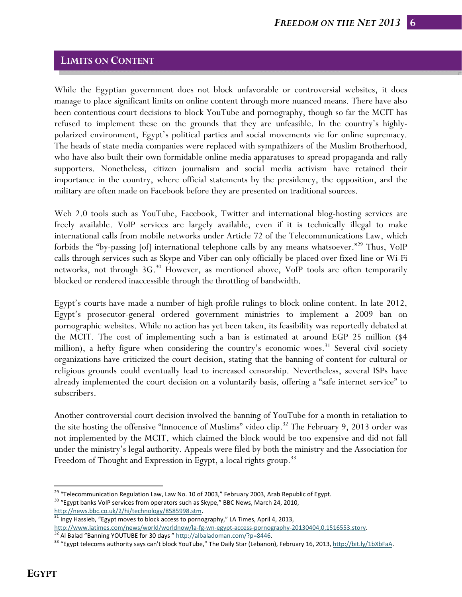## **LIMITS ON CONTENT**

While the Egyptian government does not block unfavorable or controversial websites, it does manage to place significant limits on online content through more nuanced means. There have also been contentious court decisions to block YouTube and pornography, though so far the MCIT has refused to implement these on the grounds that they are unfeasible. In the country's highlypolarized environment, Egypt's political parties and social movements vie for online supremacy. The heads of state media companies were replaced with sympathizers of the Muslim Brotherhood, who have also built their own formidable online media apparatuses to spread propaganda and rally supporters. Nonetheless, citizen journalism and social media activism have retained their importance in the country, where official statements by the presidency, the opposition, and the military are often made on Facebook before they are presented on traditional sources.

Web 2.0 tools such as YouTube, Facebook, Twitter and international blog-hosting services are freely available. VoIP services are largely available, even if it is technically illegal to make international calls from mobile networks under Article 72 of the Telecommunications Law, which forbids the "by-passing [of] international telephone calls by any means whatsoever."<sup>29</sup> Thus, VoIP calls through services such as Skype and Viber can only officially be placed over fixed-line or Wi-Fi networks, not through  $3G<sup>30</sup>$  However, as mentioned above, VoIP tools are often temporarily blocked or rendered inaccessible through the throttling of bandwidth.

Egypt's courts have made a number of high-profile rulings to block online content. In late 2012, Egypt's prosecutor-general ordered government ministries to implement a 2009 ban on pornographic websites. While no action has yet been taken, its feasibility was reportedly debated at the MCIT. The cost of implementing such a ban is estimated at around EGP 25 million (\$4 million), a hefty figure when considering the country's economic woes.<sup>31</sup> Several civil society organizations have criticized the court decision, stating that the banning of content for cultural or religious grounds could eventually lead to increased censorship. Nevertheless, several ISPs have already implemented the court decision on a voluntarily basis, offering a "safe internet service" to subscribers.

Another controversial court decision involved the banning of YouTube for a month in retaliation to the site hosting the offensive "Innocence of Muslims" video clip.<sup>32</sup> The February 9, 2013 order was not implemented by the MCIT, which claimed the block would be too expensive and did not fall under the ministry's legal authority. Appeals were filed by both the ministry and the Association for Freedom of Thought and Expression in Egypt, a local rights group.<sup>33</sup>

<sup>&</sup>lt;sup>29</sup> "Telecommunication Regulation Law, Law No. 10 of 2003," February 2003, Arab Republic of Egypt.<br><sup>30</sup> "Egypt banks VoIP services from operators such as Skype," BBC News, March 24, 2010,

http://news.bbc.co.uk/2/hi/technology/8585998.stm.<br><sup>31</sup> Ingy Hassieb, "Egypt moves to block access to pornography," LA Times, April 4, 2013,

http://www.latimes.com/news/world/worldnow/la-fg-wn-egypt-access-pornography-20130404,0,1516553.story.<br><sup>32</sup> Al Balad "Banning YOUTUBE for 30 days " http://albaladoman.com/?p=8446.<br><sup>33</sup> "Egypt telecoms authority says can't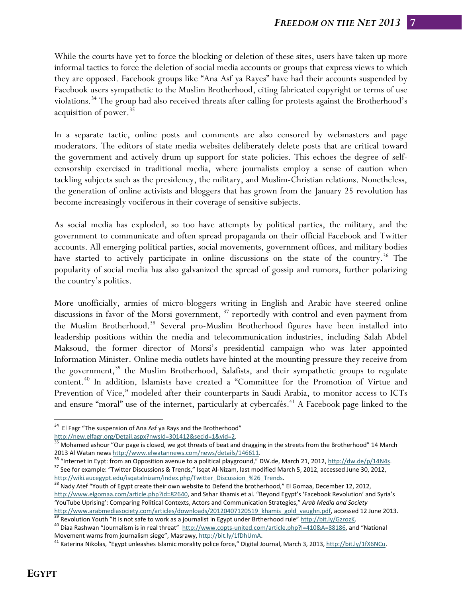While the courts have yet to force the blocking or deletion of these sites, users have taken up more informal tactics to force the deletion of social media accounts or groups that express views to which they are opposed. Facebook groups like "Ana Asf ya Rayes" have had their accounts suspended by Facebook users sympathetic to the Muslim Brotherhood, citing fabricated copyright or terms of use violations.<sup>34</sup> The group had also received threats after calling for protests against the Brotherhood's acquisition of power. $35$ 

In a separate tactic, online posts and comments are also censored by webmasters and page moderators. The editors of state media websites deliberately delete posts that are critical toward the government and actively drum up support for state policies. This echoes the degree of selfcensorship exercised in traditional media, where journalists employ a sense of caution when tackling subjects such as the presidency, the military, and Muslim-Christian relations. Nonetheless, the generation of online activists and bloggers that has grown from the January 25 revolution has become increasingly vociferous in their coverage of sensitive subjects.

As social media has exploded, so too have attempts by political parties, the military, and the government to communicate and often spread propaganda on their official Facebook and Twitter accounts. All emerging political parties, social movements, government offices, and military bodies have started to actively participate in online discussions on the state of the country.<sup>36</sup> The popularity of social media has also galvanized the spread of gossip and rumors, further polarizing the country's politics.

More unofficially, armies of micro-bloggers writing in English and Arabic have steered online discussions in favor of the Morsi government, <sup>37</sup> reportedly with control and even payment from the Muslim Brotherhood.38 Several pro-Muslim Brotherhood figures have been installed into leadership positions within the media and telecommunication industries, including Salah Abdel Maksoud, the former director of Morsi's presidential campaign who was later appointed Information Minister. Online media outlets have hinted at the mounting pressure they receive from the government,<sup>39</sup> the Muslim Brotherhood, Salafists, and their sympathetic groups to regulate content.40 In addition, Islamists have created a "Committee for the Promotion of Virtue and Prevention of Vice," modeled after their counterparts in Saudi Arabia, to monitor access to ICTs and ensure "moral" use of the internet, particularly at cybercafés.<sup>41</sup> A Facebook page linked to the

2013 Al Watan news http://www.elwatannews.com/news/details/146611.<br><sup>36</sup> "Internet in Eypt: from an Opposition avenue to a political playground," DW.de, March 21, 2012, http://dw.de/p/14N4s.<br><sup>37</sup> See for example: "Twitter http://wiki.aucegypt.edu/isqatalnizam/index.php/Twitter\_Discussion\_%26\_Trends. 38 Nady Atef "Youth of Egypt create their own website to Defend the brotherhood," El Gomaa, December 12, 2012,

http://www.elgomaa.com/article.php?id=82640, and Sshar Khamis et al. "Beyond Egypt's 'Facebook Revolution' and Syria's 'YouTube Uprising': Comparing Political Contexts, Actors and Communication Strategies," *Arab Media and Society*

<sup>&</sup>lt;sup>34</sup> El Fagr "The suspension of Ana Asf ya Rays and the Brotherhood" http://new.elfagr.org/Detail.aspx?nwsld=301412&secid=1&vid=2.

 $\frac{35}{35}$  Mohamed ashour "Our page is closed, we got threats of beat and dragging in the streets from the Brotherhood" 14 March

http://www.arabmediasociety.com/articles/downloads/20120407120519\_khamis\_gold\_vaughn.pdf, accessed 12 June 2013.<br><sup>39</sup> Revolution Youth "It is not safe to work as a journalist in Egypt under Brtherhood rule" http://bit.ly/G

Movement warns from journalism siege", Masrawy, http://bit.ly/1fDhUmA.<br>
<sup>41</sup> Katerina Nikolas, "Egypt unleashes Islamic morality police force," Digital Journal, March 3, 2013, http://bit.ly/1fX6NCu.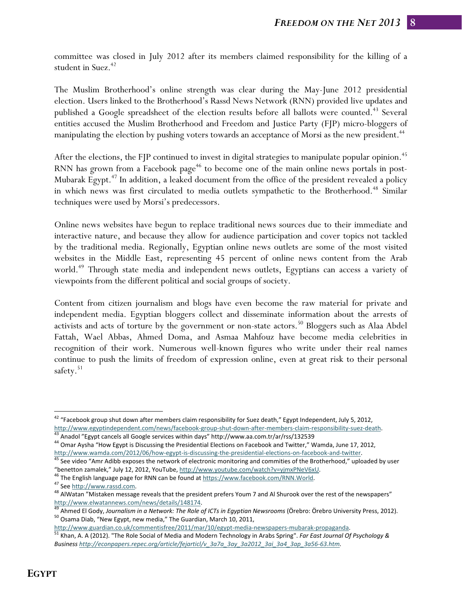committee was closed in July 2012 after its members claimed responsibility for the killing of a student in Suez.<sup>42</sup>

The Muslim Brotherhood's online strength was clear during the May-June 2012 presidential election. Users linked to the Brotherhood's Rassd News Network (RNN) provided live updates and published a Google spreadsheet of the election results before all ballots were counted.<sup>43</sup> Several entities accused the Muslim Brotherhood and Freedom and Justice Party (FJP) micro-bloggers of manipulating the election by pushing voters towards an acceptance of Morsi as the new president.<sup>44</sup>

After the elections, the FJP continued to invest in digital strategies to manipulate popular opinion.<sup>45</sup> RNN has grown from a Facebook page<sup>46</sup> to become one of the main online news portals in post-Mubarak Egypt. $47$  In addition, a leaked document from the office of the president revealed a policy in which news was first circulated to media outlets sympathetic to the Brotherhood.<sup>48</sup> Similar techniques were used by Morsi's predecessors.

Online news websites have begun to replace traditional news sources due to their immediate and interactive nature, and because they allow for audience participation and cover topics not tackled by the traditional media. Regionally, Egyptian online news outlets are some of the most visited websites in the Middle East, representing 45 percent of online news content from the Arab world.<sup>49</sup> Through state media and independent news outlets, Egyptians can access a variety of viewpoints from the different political and social groups of society.

Content from citizen journalism and blogs have even become the raw material for private and independent media. Egyptian bloggers collect and disseminate information about the arrests of activists and acts of torture by the government or non-state actors.<sup>50</sup> Bloggers such as Alaa Abdel Fattah, Wael Abbas, Ahmed Doma, and Asmaa Mahfouz have become media celebrities in recognition of their work. Numerous well-known figures who write under their real names continue to push the limits of freedom of expression online, even at great risk to their personal safety. $51$ 

 $^{42}$  "Facebook group shut down after members claim responsibility for Suez death," Egypt Independent, July 5, 2012, http://www.egyptindependent.com/news/facebook-group-shut-down-after-members-claim-responsibility-suez-death.<br><sup>43</sup> Anadol "Egypt cancels all Google services within days" http://www.aa.com.tr/ar/rss/132539<br><sup>44</sup> Omar Aysha "H

http://www.wamda.com/2012/06/how-egypt-is-discussing-the-presidential-elections-on-facebook-and-twitter.<br><sup>45</sup> See video "Amr Adibb exposes the network of electronic monitoring and commities of the Brotherhood," uploaded by

<sup>&</sup>quot;benetton zamalek," July 12, 2012, YouTube, http://www.youtube.com/watch?v=yjmxPNeV6xU.<br><sup>46</sup> The English language page for RNN can be found at https://www.facebook.com/RNN.World.<br><sup>47</sup> See http://www.rassd.com.<br><sup>48</sup> AlWata

http://www.elwatannews.com/news/details/148174.<br><sup>49</sup> Ahmed El Gody, Journalism in a Network: The Role of ICTs in Egyptian Newsrooms (Örebro: Örebro University Press, 2012).<br><sup>50</sup> Osama Diab, "New Egypt, new media," The Guar

http://www.guardian.co.uk/commentisfree/2011/mar/10/egypt-media-newspapers-mubarak-propaganda.<br><sup>51</sup> Khan, A. A (2012). "The Role Social of Media and Modern Technology in Arabs Spring". *Far East Journal Of Psychology & Business http://econpapers.repec.org/article/fejarticl/v\_3a7a\_3ay\_3a2012\_3ai\_3a4\_3ap\_3a56‐63.htm.*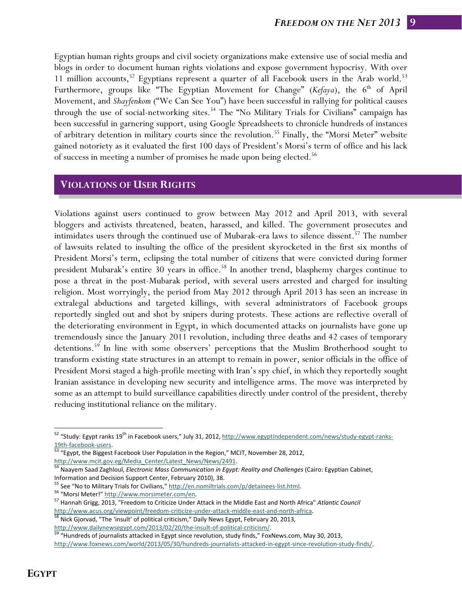Egyptian human rights groups and civil society organizations make extensive use of social media and blogs in order to document human rights violations and expose government hypocrisy. With over 11 million accounts,<sup>52</sup> Egyptians represent a quarter of all Facebook users in the Arab world.<sup>53</sup> Furthermore, groups like "The Egyptian Movement for Change" (*Kefaya*), the 6<sup>th</sup> of April Movement, and *Shayfenkom* ("We Can See You") have been successful in rallying for political causes through the use of social-networking sites.<sup>54</sup> The "No Military Trials for Civilians" campaign has been successful in garnering support, using Google Spreadsheets to chronicle hundreds of instances of arbitrary detention in military courts since the revolution.<sup>55</sup> Finally, the "Morsi Meter" website gained notoriety as it evaluated the first 100 days of President's Morsi's term of office and his lack of success in meeting a number of promises he made upon being elected.<sup>56</sup>

## **VIOLATIONS OF USER RIGHTS**

Violations against users continued to grow between May 2012 and April 2013, with several bloggers and activists threatened, beaten, harassed, and killed. The government prosecutes and intimidates users through the continued use of Mubarak-era laws to silence dissent.<sup>57</sup> The number of lawsuits related to insulting the office of the president skyrocketed in the first six months of President Morsi's term, eclipsing the total number of citizens that were convicted during former president Mubarak's entire 30 years in office.<sup>58</sup> In another trend, blasphemy charges continue to pose a threat in the post-Mubarak period, with several users arrested and charged for insulting religion. Most worryingly, the period from May 2012 through April 2013 has seen an increase in extralegal abductions and targeted killings, with several administrators of Facebook groups reportedly singled out and shot by snipers during protests. These actions are reflective overall of the deteriorating environment in Egypt, in which documented attacks on journalists have gone up tremendously since the January 2011 revolution, including three deaths and 42 cases of temporary detentions.59 In line with some observers' perceptions that the Muslim Brotherhood sought to transform existing state structures in an attempt to remain in power, senior officials in the office of President Morsi staged a high-profile meeting with Iran's spy chief, in which they reportedly sought Iranian assistance in developing new security and intelligence arms. The move was interpreted by some as an attempt to build surveillance capabilities directly under control of the president, thereby reducing institutional reliance on the military.

<sup>&</sup>lt;sup>52</sup> "Study: Egypt ranks 19<sup>th</sup> in Facebook users," July 31, 2012, http://www.egyptindependent.com/news/study-egypt-ranks-

<sup>19</sup>th-facebook-users.<br><sup>53</sup> "Egypt, the Biggest Facebook User Population in the Region," MCIT, November 28, 2012,

http://www.mcit.gov.eg/Media\_Center/Latest\_News/News/2491.<br><sup>54</sup> Naayem Saad Zaghloul, *Electronic Mass Communication in Egypt: Reality and Challenges* (Cairo: Egyptian Cabinet, Information and Decision Support Center, February 2010), 38.<br><sup>55</sup> See "No to Military Trials for Civilians," <u>http://en.nomiltrials.com/p/detainees-list.html</u>.<br><sup>56</sup> "Morsi Meter!" <u>http://www.morsimeter.com/en</u>.<br><sup>57</sup> Hanna

http://www.acus.org/viewpoint/freedom-criticize-under-attack-middle-east-and-north-africa.<br>
 <sup>58</sup> Nick Gjorvad, "The 'insult' of political criticism," Daily News Egypt, February 20, 2013,<br>
http://www.dailynewsegypt.com/20

https://www.dail/decriticitumsecritics-com/2013/the-insulter-political criticism<br>
2013, "Hundreds of journalists attacked in Egypt since revolution, study finds," FoxNews.com, May 30, 2013, http://www.foxnews.com/world/2013/05/30/hundreds-journalists-attacked-in-egypt-since-revolution-study-finds/.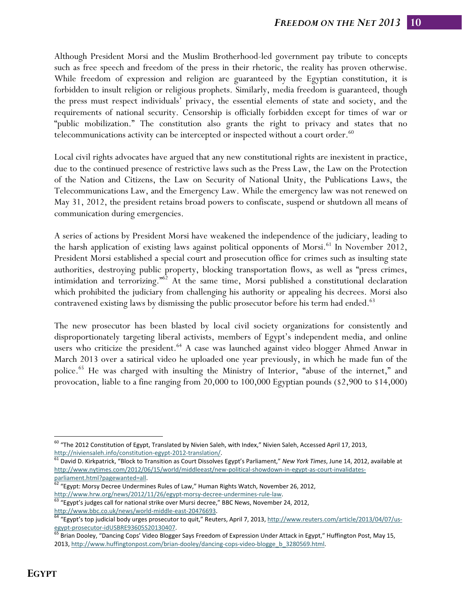Although President Morsi and the Muslim Brotherhood-led government pay tribute to concepts such as free speech and freedom of the press in their rhetoric, the reality has proven otherwise. While freedom of expression and religion are guaranteed by the Egyptian constitution, it is forbidden to insult religion or religious prophets. Similarly, media freedom is guaranteed, though the press must respect individuals' privacy, the essential elements of state and society, and the requirements of national security. Censorship is officially forbidden except for times of war or "public mobilization." The constitution also grants the right to privacy and states that no telecommunications activity can be intercepted or inspected without a court order. $60$ 

Local civil rights advocates have argued that any new constitutional rights are inexistent in practice, due to the continued presence of restrictive laws such as the Press Law, the Law on the Protection of the Nation and Citizens, the Law on Security of National Unity, the Publications Laws, the Telecommunications Law, and the Emergency Law. While the emergency law was not renewed on May 31, 2012, the president retains broad powers to confiscate, suspend or shutdown all means of communication during emergencies.

A series of actions by President Morsi have weakened the independence of the judiciary, leading to the harsh application of existing laws against political opponents of Morsi.<sup>61</sup> In November 2012, President Morsi established a special court and prosecution office for crimes such as insulting state authorities, destroying public property, blocking transportation flows, as well as "press crimes, intimidation and terrorizing.<sup> $n62$ </sup> At the same time, Morsi published a constitutional declaration which prohibited the judiciary from challenging his authority or appealing his decrees. Morsi also contravened existing laws by dismissing the public prosecutor before his term had ended.<sup>63</sup>

The new prosecutor has been blasted by local civil society organizations for consistently and disproportionately targeting liberal activists, members of Egypt's independent media, and online users who criticize the president.<sup>64</sup> A case was launched against video blogger Ahmed Anwar in March 2013 over a satirical video he uploaded one year previously, in which he made fun of the police.<sup>65</sup> He was charged with insulting the Ministry of Interior, "abuse of the internet," and provocation, liable to a fine ranging from 20,000 to 100,000 Egyptian pounds (\$2,900 to \$14,000)

 $\overline{a}$  $60$  "The 2012 Constitution of Egypt, Translated by Nivien Saleh, with Index," Nivien Saleh, Accessed April 17, 2013,

http://niviensaleh.info/constitution‐egypt‐2012‐translation/. <sup>61</sup> David D. Kirkpatrick, "Block to Transition as Court Dissolves Egypt's Parliament," *New York Times*, June 14, 2012, available at http://www.nytimes.com/2012/06/15/world/middleeast/new-political-showdown-in-egypt-as-court-invalidates-

parliament.html?pagewanted=all.<br>
<sup>62</sup> "Egypt: Morsy Decree Undermines Rules of Law," Human Rights Watch, November 26, 2012,

http://www.hrw.org/news/2012/11/26/egypt-morsy-decree-undermines-rule-law.<br><sup>63</sup> "Egypt's judges call for national strike over Mursi decree," BBC News, November 24, 2012,

http://www.bbc.co.uk/news/world-middle-east-20476693.<br><sup>64</sup> "Egypt's top judicial body urges prosecutor to quit," Reuters, April 7, 2013, <u>http://www.reuters.com/article/2013/04/07/us-</u> egypt-prosecutor-idUSBRE93605S20130407.<br>
<sup>65</sup> Brian Dooley, "Dancing Cops' Video Blogger Says Freedom of Expression Under Attack in Egypt," Huffington Post, May 15,

<sup>2013,</sup> http://www.huffingtonpost.com/brian-dooley/dancing-cops-video-blogge\_b\_3280569.html.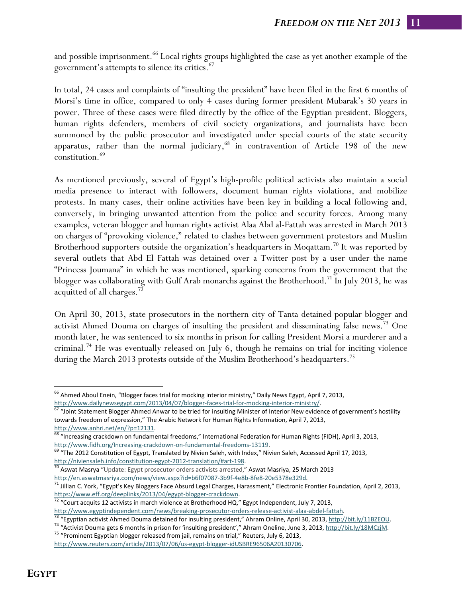and possible imprisonment.<sup>66</sup> Local rights groups highlighted the case as yet another example of the government's attempts to silence its critics.67

In total, 24 cases and complaints of "insulting the president" have been filed in the first 6 months of Morsi's time in office, compared to only 4 cases during former president Mubarak's 30 years in power. Three of these cases were filed directly by the office of the Egyptian president. Bloggers, human rights defenders, members of civil society organizations, and journalists have been summoned by the public prosecutor and investigated under special courts of the state security apparatus, rather than the normal judiciary,  $68$  in contravention of Article 198 of the new constitution.69

As mentioned previously, several of Egypt's high-profile political activists also maintain a social media presence to interact with followers, document human rights violations, and mobilize protests. In many cases, their online activities have been key in building a local following and, conversely, in bringing unwanted attention from the police and security forces. Among many examples, veteran blogger and human rights activist Alaa Abd al-Fattah was arrested in March 2013 on charges of "provoking violence," related to clashes between government protestors and Muslim Brotherhood supporters outside the organization's headquarters in Moqattam.<sup>70</sup> It was reported by several outlets that Abd El Fattah was detained over a Twitter post by a user under the name "Princess Joumana" in which he was mentioned, sparking concerns from the government that the blogger was collaborating with Gulf Arab monarchs against the Brotherhood.71 In July 2013, he was acquitted of all charges.72

On April 30, 2013, state prosecutors in the northern city of Tanta detained popular blogger and activist Ahmed Douma on charges of insulting the president and disseminating false news.<sup>73</sup> One month later, he was sentenced to six months in prison for calling President Morsi a murderer and a criminal.74 He was eventually released on July 6, though he remains on trial for inciting violence during the March 2013 protests outside of the Muslim Brotherhood's headquarters.<sup>75</sup>

<sup>&</sup>lt;sup>66</sup> Ahmed Aboul Enein, "Blogger faces trial for mocking interior ministry," Daily News Egypt, April 7, 2013, http://www.dailynewsegypt.com/2013/04/07/blogger-faces-trial-for-mocking-interior-ministry/.

 $\frac{67}{67}$  Joint Statement Blogger Ahmed Anwar to be tried for insulting Minister of Interior New evidence of government's hostility towards freedom of expression," The Arabic Network for Human Rights Information, April 7, 2013,

http://www.anhri.net/en/?p=12131.<br><sup>68</sup> "Increasing crackdown on fundamental freedoms," International Federation for Human Rights (FIDH), April 3, 2013,

http://www.fidh.org/Increasing-crackdown-on-fundamental-freedoms-13119.<br>
<sup>69</sup> "The 2012 Constitution of Egypt, Translated by Nivien Saleh, with Index," Nivien Saleh, Accessed April 17, 2013, http://niviensaleh.info/constitution-egypt-2012-translation/#art-198.<br><sup>70</sup> Aswat Masrya "Update: Egypt prosecutor orders activists arrested," Aswat Masriya, 25 March 2013

http://en.aswatmasriya.com/news/view.aspx?id=b6f07087-3b9f-4e8b-8fe8-20e5378e329d.<br><sup>71</sup> Jillian C. York, "Egypt's Key Bloggers Face Absurd Legal Charges, Harassment," Electronic Frontier Foundation, April 2, 2013,<br>https://

 $\frac{1}{72}$  "Court acquits 12 activists in march violence at Brotherhood HQ," Egypt Independent, July 7, 2013,

http://www.egyptindependent.com/news/breaking-prosecutor-orders-release-activist-alaa-abdel-fattah.<br>
<sup>73</sup> "Egyptian activist Ahmed Douma detained for insulting president," Ahram Online, April 30, 2013, http://bit.ly/11BZEO

http://www.reuters.com/article/2013/07/06/us-egypt-blogger-idUSBRE96506A20130706.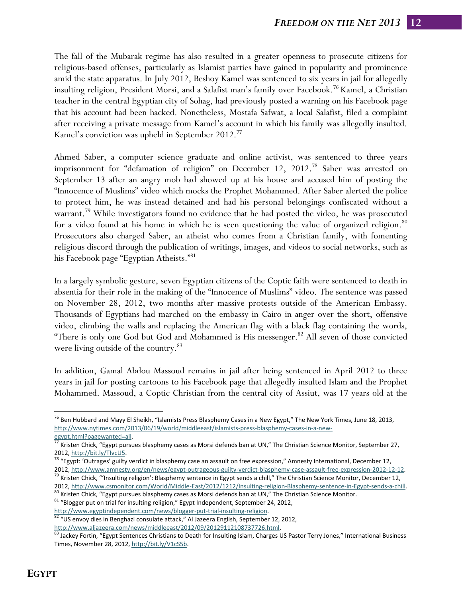The fall of the Mubarak regime has also resulted in a greater openness to prosecute citizens for religious-based offenses, particularly as Islamist parties have gained in popularity and prominence amid the state apparatus. In July 2012, Beshoy Kamel was sentenced to six years in jail for allegedly insulting religion, President Morsi, and a Salafist man's family over Facebook.<sup>76</sup> Kamel, a Christian teacher in the central Egyptian city of Sohag, had previously posted a warning on his Facebook page that his account had been hacked. Nonetheless, Mostafa Safwat, a local Salafist, filed a complaint after receiving a private message from Kamel's account in which his family was allegedly insulted. Kamel's conviction was upheld in September 2012.<sup>77</sup>

Ahmed Saber, a computer science graduate and online activist, was sentenced to three years imprisonment for "defamation of religion" on December 12, 2012.<sup>78</sup> Saber was arrested on September 13 after an angry mob had showed up at his house and accused him of posting the "Innocence of Muslims" video which mocks the Prophet Mohammed. After Saber alerted the police to protect him, he was instead detained and had his personal belongings confiscated without a warrant.<sup>79</sup> While investigators found no evidence that he had posted the video, he was prosecuted for a video found at his home in which he is seen questioning the value of organized religion.<sup>80</sup> Prosecutors also charged Saber, an atheist who comes from a Christian family, with fomenting religious discord through the publication of writings, images, and videos to social networks, such as his Facebook page "Egyptian Atheists."<sup>81</sup>

In a largely symbolic gesture, seven Egyptian citizens of the Coptic faith were sentenced to death in absentia for their role in the making of the "Innocence of Muslims" video. The sentence was passed on November 28, 2012, two months after massive protests outside of the American Embassy. Thousands of Egyptians had marched on the embassy in Cairo in anger over the short, offensive video, climbing the walls and replacing the American flag with a black flag containing the words, "There is only one God but God and Mohammed is His messenger.<sup>82</sup> All seven of those convicted were living outside of the country.<sup>83</sup>

In addition, Gamal Abdou Massoud remains in jail after being sentenced in April 2012 to three years in jail for posting cartoons to his Facebook page that allegedly insulted Islam and the Prophet Mohammed. Massoud, a Coptic Christian from the central city of Assiut, was 17 years old at the

<sup>&</sup>lt;sup>76</sup> Ben Hubbard and Mayy El Sheikh, "Islamists Press Blasphemy Cases in a New Egypt," The New York Times, June 18, 2013, http://www.nytimes.com/2013/06/19/world/middleeast/islamists‐press‐blasphemy‐cases‐in‐a‐new‐

egypt.html?pagewanted=all.<br><sup>77</sup> Kristen Chick, "Egypt pursues blasphemy cases as Morsi defends ban at UN," The Christian Science Monitor, September 27,

<sup>2012,</sup> http://bit.ly/TIvcU5.<br><sup>78</sup> "Egypt: 'Outrages' guilty verdict in blasphemy case an assault on free expression," Amnesty International, December 12,

<sup>2012,</sup> http://www.amnesty.org/en/news/egypt-outrageous-guilty-verdict-blasphemy-case-assault-free-expression-2012-12-12.<br><sup>79</sup> Kristen Chick, "'Insulting religion': Blasphemy sentence in Egypt sends a chill," The Christian S 2012, http://www.csmonitor.com/World/Middle-East/2012/1212/Insulting-religion-Blasphemy-sentence-in-Egypt-sends-a-chill.<br><sup>80</sup> Kristen Chick, "Egypt pursues blasphemy cases as Morsi defends ban at UN," The Christian Scienc

http://www.egyptindependent.com/news/blogger-put-trial-insulting-religion.<br><sup>82</sup> "US envoy dies in Benghazi consulate attack," Al Jazeera English, September 12, 2012,

http://www.aljazeera.com/news/middleeast/2012/09/20129112108737726.html.<br><sup>83</sup> Jackey Fortin, "Egypt Sentences Christians to Death for Insulting Islam, Charges US Pastor Terry Jones," International Business Times, November 28, 2012, http://bit.ly/V1cS5b.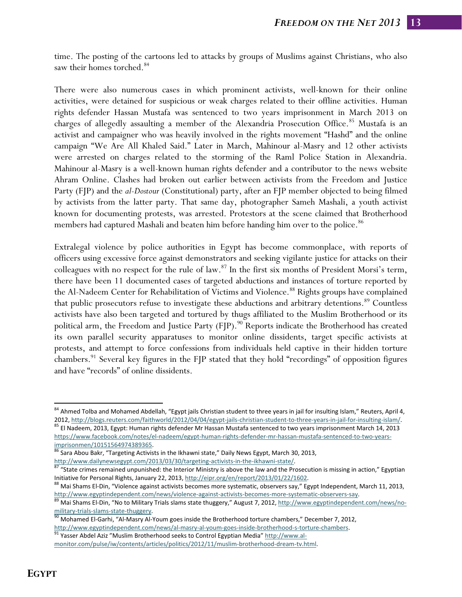time. The posting of the cartoons led to attacks by groups of Muslims against Christians, who also saw their homes torched.<sup>84</sup>

There were also numerous cases in which prominent activists, well-known for their online activities, were detained for suspicious or weak charges related to their offline activities. Human rights defender Hassan Mustafa was sentenced to two years imprisonment in March 2013 on charges of allegedly assaulting a member of the Alexandria Prosecution Office.<sup>85</sup> Mustafa is an activist and campaigner who was heavily involved in the rights movement "Hashd" and the online campaign "We Are All Khaled Said." Later in March, Mahinour al-Masry and 12 other activists were arrested on charges related to the storming of the Raml Police Station in Alexandria. Mahinour al-Masry is a well-known human rights defender and a contributor to the news website Ahram Online. Clashes had broken out earlier between activists from the Freedom and Justice Party (FJP) and the *al-Dostour* (Constitutional) party, after an FJP member objected to being filmed by activists from the latter party. That same day, photographer Sameh Mashali, a youth activist known for documenting protests, was arrested. Protestors at the scene claimed that Brotherhood members had captured Mashali and beaten him before handing him over to the police.<sup>86</sup>

Extralegal violence by police authorities in Egypt has become commonplace, with reports of officers using excessive force against demonstrators and seeking vigilante justice for attacks on their colleagues with no respect for the rule of law.<sup>87</sup> In the first six months of President Morsi's term, there have been 11 documented cases of targeted abductions and instances of torture reported by the Al-Nadeem Center for Rehabilitation of Victims and Violence.<sup>88</sup> Rights groups have complained that public prosecutors refuse to investigate these abductions and arbitrary detentions.<sup>89</sup> Countless activists have also been targeted and tortured by thugs affiliated to the Muslim Brotherhood or its political arm, the Freedom and Justice Party (FJP).<sup>90</sup> Reports indicate the Brotherhood has created its own parallel security apparatuses to monitor online dissidents, target specific activists at protests, and attempt to force confessions from individuals held captive in their hidden torture chambers.<sup>91</sup> Several key figures in the FJP stated that they hold "recordings" of opposition figures and have "records" of online dissidents.

<sup>&</sup>lt;sup>84</sup> Ahmed Tolba and Mohamed Abdellah, "Egypt jails Christian student to three years in jail for insulting Islam," Reuters, April 4, 2012, http://blogs.reuters.com/faithworld/2012/04/04/egypt-jails-christian-student-to-three-years-in-jail-for-insulting-islam/.<br><sup>85</sup> El Nadeem, 2013, Egypt: Human rights defender Mr Hassan Mustafa sentenced to two years im

https://www.facebook.com/notes/el‐nadeem/egypt‐human‐rights‐defender‐mr‐hassan‐mustafa‐sentenced‐to‐two‐years‐ imprisonmen/10151564974389365.<br><sup>86</sup> Sara Abou Bakr, "Targeting Activists in the Ikhawni state," Daily News Egypt, March 30, 2013,

http://www.dailynewsegypt.com/2013/03/30/targeting-activists-in-the-ikhawni-state/.<br><sup>87</sup> "State crimes remained unpunished: the Interior Ministry is above the law and the Prosecution is missing in action," Egyptian Initiative for Personal Rights, January 22, 2013, http://eipr.org/en/report/2013/01/22/1602.<br>
 <sup>88</sup> Mai Shams El-Din, "Violence against activists becomes more systematic, observers say," Egypt Independent, March 11, 2013,

http://www.egyptindependent.com/news/violence-against-activists-becomes-more-systematic-observers-say.<br><sup>89</sup> Mai Shams El-Din, "No to Military Trials slams state thuggery," August 7, 2012, http://www.egyptindependent.com/ne

military-trials-slams-state-thuggery.<br><sup>90</sup> Mohamed El-Garhi, "Al-Masry Al-Youm goes inside the Brotherhood torture chambers," December 7, 2012,

http://www.egyptindependent.com/news/al-masry-al-youm-goes-inside-brotherhood-s-torture-chambers. 91 Yasser Abdel Aziz "Muslim Brotherhood seeks to Control Egyptian Media" http://www.al-

monitor.com/pulse/iw/contents/articles/politics/2012/11/muslim‐brotherhood‐dream‐tv.html.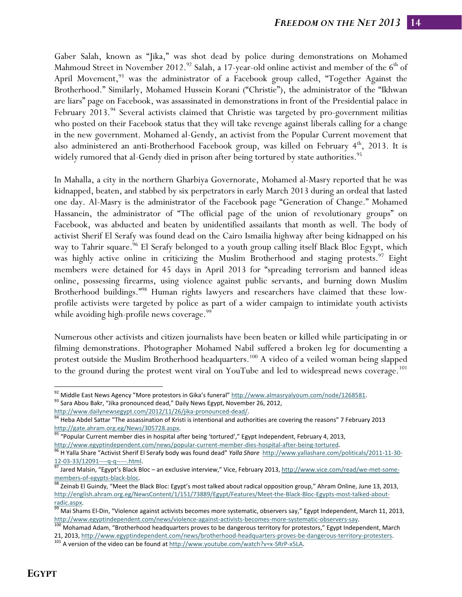Gaber Salah, known as "Jika," was shot dead by police during demonstrations on Mohamed Mahmoud Street in November 2012.<sup>92</sup> Salah, a 17-year-old online activist and member of the 6<sup>th</sup> of April Movement,<sup>93</sup> was the administrator of a Facebook group called, "Together Against the Brotherhood." Similarly, Mohamed Hussein Korani ("Christie"), the administrator of the "Ikhwan are liars" page on Facebook, was assassinated in demonstrations in front of the Presidential palace in February 2013.<sup>94</sup> Several activists claimed that Christie was targeted by pro-government militias who posted on their Facebook status that they will take revenge against liberals calling for a change in the new government. Mohamed al-Gendy, an activist from the Popular Current movement that also administered an anti-Brotherhood Facebook group, was killed on February  $4<sup>th</sup>$ , 2013. It is widely rumored that al-Gendy died in prison after being tortured by state authorities.<sup>95</sup>

In Mahalla, a city in the northern Gharbiya Governorate, Mohamed al-Masry reported that he was kidnapped, beaten, and stabbed by six perpetrators in early March 2013 during an ordeal that lasted one day. Al-Masry is the administrator of the Facebook page "Generation of Change." Mohamed Hassanein, the administrator of "The official page of the union of revolutionary groups" on Facebook, was abducted and beaten by unidentified assailants that month as well. The body of activist Sherif El Serafy was found dead on the Cairo Ismailia highway after being kidnapped on his way to Tahrir square.<sup>96</sup> El Serafy belonged to a youth group calling itself Black Bloc Egypt, which was highly active online in criticizing the Muslim Brotherhood and staging protests.<sup>97</sup> Eight members were detained for 45 days in April 2013 for "spreading terrorism and banned ideas online, possessing firearms, using violence against public servants, and burning down Muslim Brotherhood buildings."<sup>98</sup> Human rights lawyers and researchers have claimed that these lowprofile activists were targeted by police as part of a wider campaign to intimidate youth activists while avoiding high-profile news coverage.<sup>99</sup>

Numerous other activists and citizen journalists have been beaten or killed while participating in or filming demonstrations. Photographer Mohamed Nabil suffered a broken leg for documenting a protest outside the Muslim Brotherhood headquarters.<sup>100</sup> A video of a veiled woman being slapped to the ground during the protest went viral on YouTube and led to widespread news coverage.<sup>101</sup>

<sup>&</sup>lt;sup>92</sup> Middle East News Agency "More protestors in Gika's funeral" http://www.almasryalyoum.com/node/1268581.<br>
<sup>93</sup> Sara Abou Bakr, "Jika pronounced dead," Daily News Egypt, November 26, 2012,

http://www.dailynewsegypt.com/2012/11/26/jika-pronounced-dead/.<br><sup>94</sup> Heba Abdel Sattar "The assassination of Kristi is intentional and authorities are covering the reasons" 7 February 2013

http://gate.ahram.org.eg/News/305728.aspx.<br><sup>95</sup> "Popular Current member dies in hospital after being 'tortured'," Egypt Independent, February 4, 2013,

http://www.egyptindependent.com/news/popular-current-member-dies-hospital-after-being-tortured.<br><sup>96</sup> H Yalla Share "Activist Sherif El Serafy body was found dead" *Yalla Share* http://www.yallashare.com/politicals/2011-11-

<sup>12-03-33/12091----</sup>q-q-----.html.<br><sup>97</sup> Jared Malsin, "Egypt's Black Bloc – an exclusive interview," Vice, February 2013, http://www.vice.com/read/we-met-some-

members-of-egypts-black-bloc.<br><sup>98</sup> Zeinab El Guindy, "Meet the Black Bloc: Egypt's most talked about radical opposition group," Ahram Online, June 13, 2013, http://english.ahram.org.eg/NewsContent/1/151/73889/Egypt/Features/Meet-the-Black-Bloc-Egypts-most-talked-about-

<sup>&</sup>lt;u>radic.aspx</u>.<br><sup>99</sup> Mai Shams El-Din, "Violence against activists becomes more systematic, observers say," Egypt Independent, March 11, 2013,

http://www.egyptindependent.com/news/violence-against-activists-becomes-more-systematic-observers-say.<br><sup>100</sup> Mohamad Adam, "Brotherhood headquarters proves to be dangerous territory for protestors," Egypt Independent, Marc 21, 2013, http://www.egyptindependent.com/news/brotherhood-headquarters-proves-be-dangerous-territory-protesters.<br>
<sup>101</sup> A version of the video can be found at http://www.youtube.com/watch?v=x-SRrP-x5LA.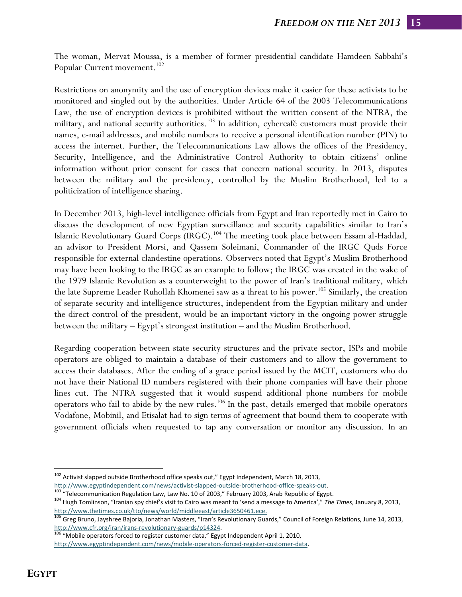The woman, Mervat Moussa, is a member of former presidential candidate Hamdeen Sabbahi's Popular Current movement.<sup>102</sup>

Restrictions on anonymity and the use of encryption devices make it easier for these activists to be monitored and singled out by the authorities. Under Article 64 of the 2003 Telecommunications Law, the use of encryption devices is prohibited without the written consent of the NTRA, the military, and national security authorities.<sup>103</sup> In addition, cybercafé customers must provide their names, e-mail addresses, and mobile numbers to receive a personal identification number (PIN) to access the internet. Further, the Telecommunications Law allows the offices of the Presidency, Security, Intelligence, and the Administrative Control Authority to obtain citizens' online information without prior consent for cases that concern national security. In 2013, disputes between the military and the presidency, controlled by the Muslim Brotherhood, led to a politicization of intelligence sharing.

In December 2013, high-level intelligence officials from Egypt and Iran reportedly met in Cairo to discuss the development of new Egyptian surveillance and security capabilities similar to Iran's Islamic Revolutionary Guard Corps (IRGC).<sup>104</sup> The meeting took place between Essam al-Haddad, an advisor to President Morsi, and Qassem Soleimani, Commander of the IRGC Quds Force responsible for external clandestine operations. Observers noted that Egypt's Muslim Brotherhood may have been looking to the IRGC as an example to follow; the IRGC was created in the wake of the 1979 Islamic Revolution as a counterweight to the power of Iran's traditional military, which the late Supreme Leader Ruhollah Khomenei saw as a threat to his power.<sup>105</sup> Similarly, the creation of separate security and intelligence structures, independent from the Egyptian military and under the direct control of the president, would be an important victory in the ongoing power struggle between the military – Egypt's strongest institution – and the Muslim Brotherhood.

Regarding cooperation between state security structures and the private sector, ISPs and mobile operators are obliged to maintain a database of their customers and to allow the government to access their databases. After the ending of a grace period issued by the MCIT, customers who do not have their National ID numbers registered with their phone companies will have their phone lines cut. The NTRA suggested that it would suspend additional phone numbers for mobile operators who fail to abide by the new rules.<sup>106</sup> In the past, details emerged that mobile operators Vodafone, Mobinil, and Etisalat had to sign terms of agreement that bound them to cooperate with government officials when requested to tap any conversation or monitor any discussion. In an

<sup>&</sup>lt;sup>102</sup> Activist slapped outside Brotherhood office speaks out," Egypt Independent, March 18, 2013,

http://www.egyptindependent.com/news/activist-slapped-outside-brotherhood-office-speaks-out.<br><sup>103</sup> "Telecommunication Regulation Law, Law No. 10 of 2003," February 2003, Arab Republic of Egypt.<br><sup>104</sup> Hugh Tomlinson, "Irani

http://www.thetimes.co.uk/tto/news/world/middleeast/article3650461.ece.<br><sup>105</sup> Greg Bruno, Jayshree Bajoria, Jonathan Masters, "Iran's Revolutionary Guards," Council of Foreign Relations, June 14, 2013, http://www.cfr.org/iran/irans-revolutionary-guards/p14324.<br><sup>106</sup> "Mobile operators forced to register customer data," Egypt Independent April 1, 2010,

http://www.egyptindependent.com/news/mobile-operators-forced-register-customer-data.